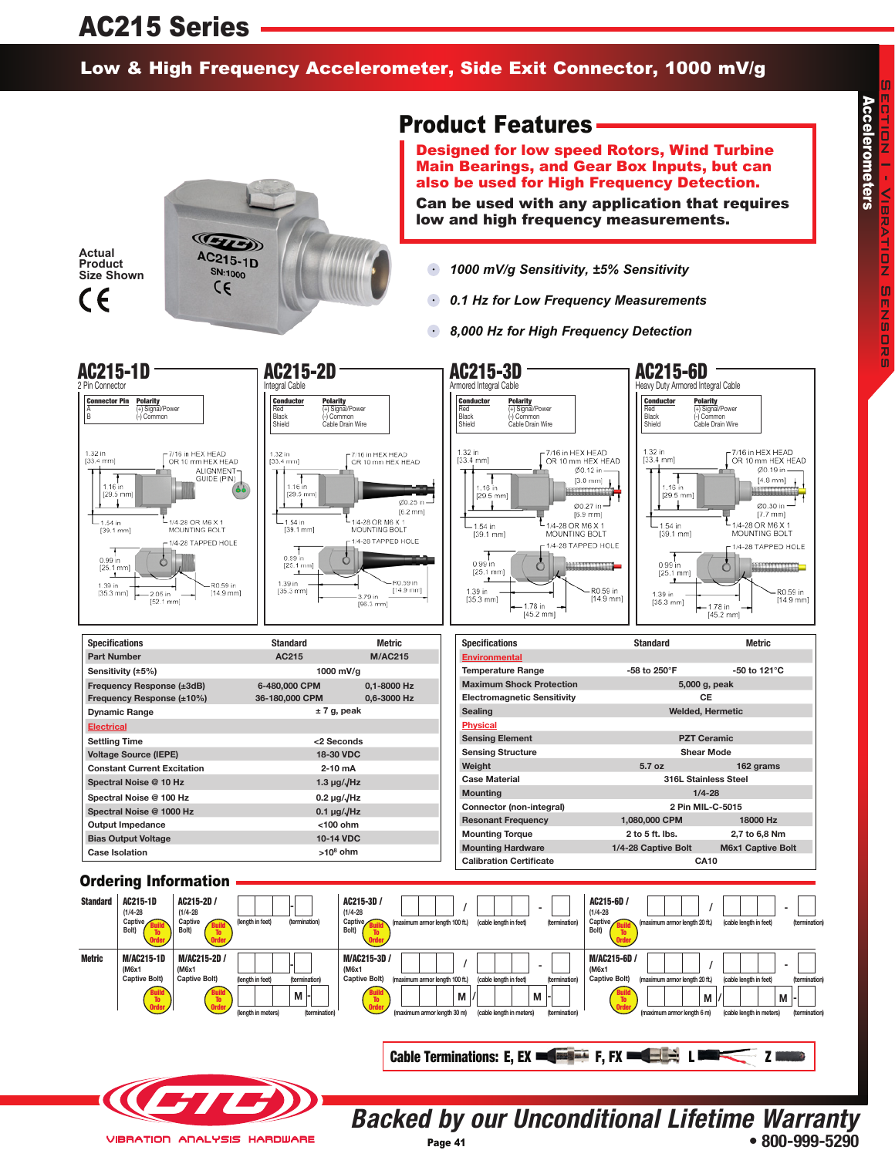## AC215 Series

## Low & High Frequency Accelerometer, Side Exit Connector, 1000 mV/g



## Product Features

Designed for low speed Rotors, Wind Turbine Main Bearings, and Gear Box Inputs, but can also be used for High Frequency Detection.

Can be used with any application that requires low and high frequency measurements.

- *1000 mV/g Sensitivity, ±5% Sensitivity*
- $\bullet$ *0.1 Hz for Low Frequency Measurements*
- $\bullet$ *8,000 Hz for High Frequency Detection*



**Backed by our Unconditional Lifetime Warranty • 800-999-5290**

**VIBRATION ANALYSIS HARDWARE**